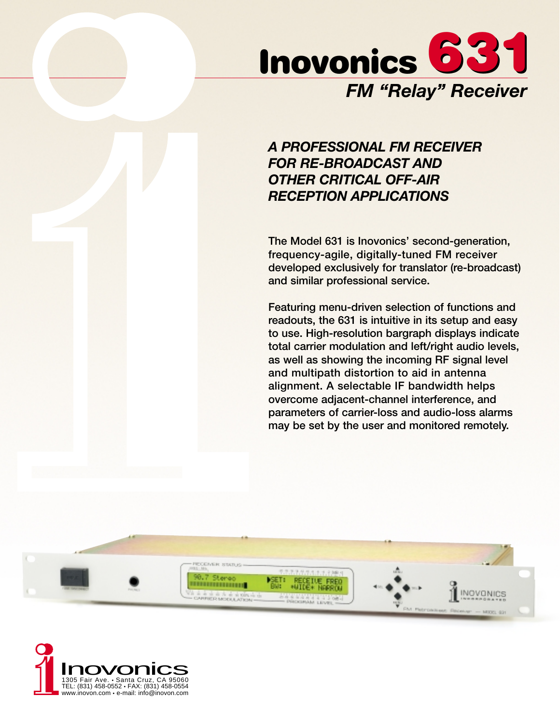

# *A PROFESSIONAL FM RECEIVER FOR RE-BROADCAST AND OTHER CRITICAL OFF-AIR RECEPTION APPLICATIONS*

**The Model 631 is Inovonics' second-generation, frequency-agile, digitally-tuned FM receiver developed exclusively for translator (re-broadcast) and similar professional service.**

**Featuring menu-driven selection of functions and readouts, the 631 is intuitive in its setup and easy to use. High-resolution bargraph displays indicate total carrier modulation and left/right audio levels, as well as showing the incoming RF signal level and multipath distortion to aid in antenna alignment. A selectable IF bandwidth helps overcome adjacent-channel interference, and parameters of carrier-loss and audio-loss alarms may be set by the user and monitored remotely.**